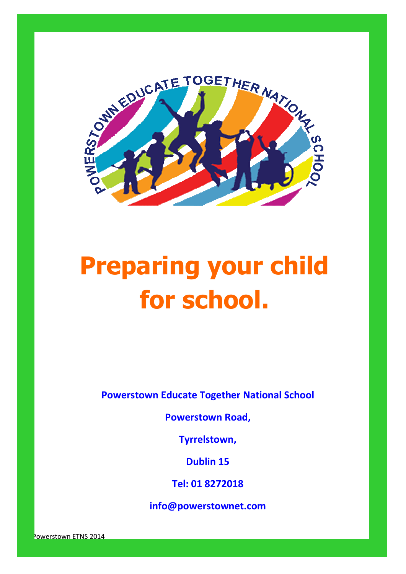

# **Preparing your child for school.**

**Powerstown Educate Together National School**

**Powerstown Road,**

**Tyrrelstown,**

**Dublin 15**

**Tel: 01 8272018**

**info@powerstownet.com**

© Powerstown ETNS 2014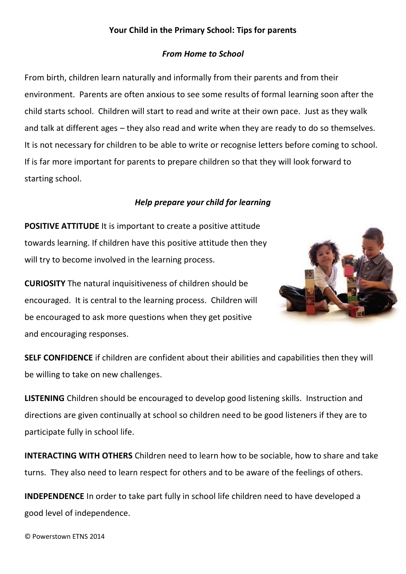#### **Your Child in the Primary School: Tips for parents**

#### *From Home to School*

From birth, children learn naturally and informally from their parents and from their environment. Parents are often anxious to see some results of formal learning soon after the child starts school. Children will start to read and write at their own pace. Just as they walk and talk at different ages – they also read and write when they are ready to do so themselves. It is not necessary for children to be able to write or recognise letters before coming to school. If is far more important for parents to prepare children so that they will look forward to starting school.

#### *Help prepare your child for learning*

**POSITIVE ATTITUDE** It is important to create a positive attitude towards learning. If children have this positive attitude then they will try to become involved in the learning process.

**CURIOSITY** The natural inquisitiveness of children should be encouraged. It is central to the learning process. Children will be encouraged to ask more questions when they get positive and encouraging responses.



**SELF CONFIDENCE** if children are confident about their abilities and capabilities then they will be willing to take on new challenges.

**LISTENING** Children should be encouraged to develop good listening skills. Instruction and directions are given continually at school so children need to be good listeners if they are to participate fully in school life.

**INTERACTING WITH OTHERS** Children need to learn how to be sociable, how to share and take turns. They also need to learn respect for others and to be aware of the feelings of others.

**INDEPENDENCE** In order to take part fully in school life children need to have developed a good level of independence.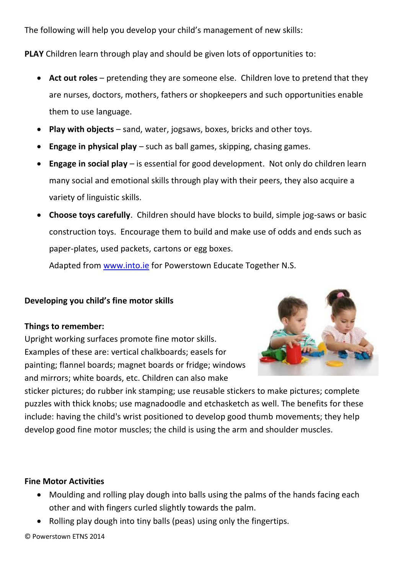The following will help you develop your child's management of new skills:

**PLAY** Children learn through play and should be given lots of opportunities to:

- **Act out roles** pretending they are someone else. Children love to pretend that they are nurses, doctors, mothers, fathers or shopkeepers and such opportunities enable them to use language.
- **Play with objects** sand, water, jogsaws, boxes, bricks and other toys.
- **Engage in physical play** such as ball games, skipping, chasing games.
- **Engage in social play** is essential for good development. Not only do children learn many social and emotional skills through play with their peers, they also acquire a variety of linguistic skills.
- **Choose toys carefully**. Children should have blocks to build, simple jog-saws or basic construction toys. Encourage them to build and make use of odds and ends such as paper-plates, used packets, cartons or egg boxes.

Adapted from [www.into.ie](http://www.into.ie/) for Powerstown Educate Together N.S.

## **Developing you child's fine motor skills**

#### **Things to remember:**

Upright working surfaces promote fine motor skills. Examples of these are: vertical chalkboards; easels for painting; flannel boards; magnet boards or fridge; windows and mirrors; white boards, etc. Children can also make



sticker pictures; do rubber ink stamping; use reusable stickers to make pictures; complete puzzles with thick knobs; use magnadoodle and etchasketch as well. The benefits for these include: having the child's wrist positioned to develop good thumb movements; they help develop good fine motor muscles; the child is using the arm and shoulder muscles.

#### **Fine Motor Activities**

- Moulding and rolling play dough into balls using the palms of the hands facing each other and with fingers curled slightly towards the palm.
- Rolling play dough into tiny balls (peas) using only the fingertips.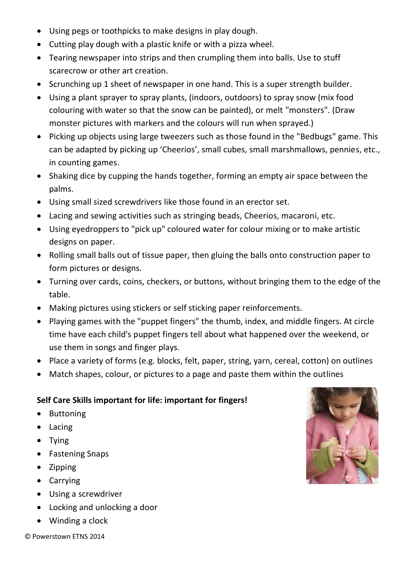- Using pegs or toothpicks to make designs in play dough.
- Cutting play dough with a plastic knife or with a pizza wheel.
- Tearing newspaper into strips and then crumpling them into balls. Use to stuff scarecrow or other art creation.
- Scrunching up 1 sheet of newspaper in one hand. This is a super strength builder.
- Using a plant sprayer to spray plants, (indoors, outdoors) to spray snow (mix food colouring with water so that the snow can be painted), or melt "monsters". (Draw monster pictures with markers and the colours will run when sprayed.)
- Picking up objects using large tweezers such as those found in the "Bedbugs" game. This can be adapted by picking up 'Cheerios', small cubes, small marshmallows, pennies, etc., in counting games.
- Shaking dice by cupping the hands together, forming an empty air space between the palms.
- Using small sized screwdrivers like those found in an erector set.
- Lacing and sewing activities such as stringing beads, Cheerios, macaroni, etc.
- Using eyedroppers to "pick up" coloured water for colour mixing or to make artistic designs on paper.
- Rolling small balls out of tissue paper, then gluing the balls onto construction paper to form pictures or designs.
- Turning over cards, coins, checkers, or buttons, without bringing them to the edge of the table.
- Making pictures using stickers or self sticking paper reinforcements.
- Playing games with the "puppet fingers" the thumb, index, and middle fingers. At circle time have each child's puppet fingers tell about what happened over the weekend, or use them in songs and finger plays.
- Place a variety of forms (e.g. blocks, felt, paper, string, yarn, cereal, cotton) on outlines
- Match shapes, colour, or pictures to a page and paste them within the outlines

## **Self Care Skills important for life: important for fingers!**

- Buttoning
- Lacing
- Tying
- Fastening Snaps
- Zipping
- Carrying
- Using a screwdriver
- Locking and unlocking a door
- Winding a clock



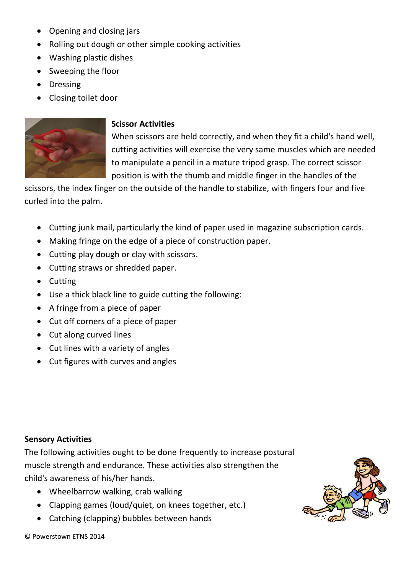- Opening and closing jars
- Rolling out dough or other simple cooking activities
- Washing plastic dishes
- Sweeping the floor
- Dressing
- Closing toilet door



## **Scissor Activities**

When scissors are held correctly, and when they fit a child's hand well, cutting activities will exercise the very same muscles which are needed to manipulate a pencil in a mature tripod grasp. The correct scissor position is with the thumb and middle finger in the handles of the

scissors, the index finger on the outside of the handle to stabilize, with fingers four and five curled into the palm.

- Cutting junk mail, particularly the kind of paper used in magazine subscription cards.
- Making fringe on the edge of a piece of construction paper.
- Cutting play dough or clay with scissors.
- Cutting straws or shredded paper.
- Cutting
- Use a thick black line to guide cutting the following:
- A fringe from a piece of paper
- Cut off corners of a piece of paper
- Cut along curved lines
- Cut lines with a variety of angles
- Cut figures with curves and angles

## **Sensory Activities**

The following activities ought to be done frequently to increase postural muscle strength and endurance. These activities also strengthen the child's awareness of his/her hands.

- Wheelbarrow walking, crab walking
- Clapping games (loud/quiet, on knees together, etc.)
- Catching (clapping) bubbles between hands

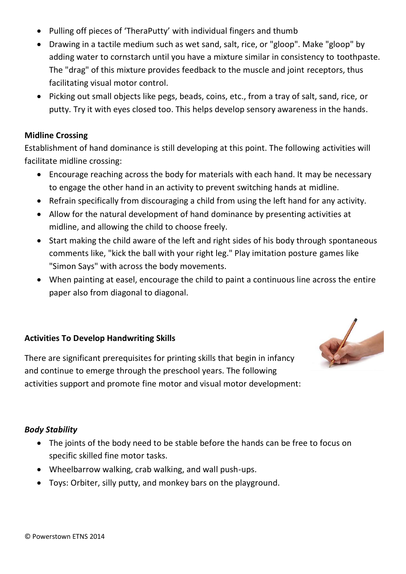- Pulling off pieces of 'TheraPutty' with individual fingers and thumb
- Drawing in a tactile medium such as wet sand, salt, rice, or "gloop". Make "gloop" by adding water to cornstarch until you have a mixture similar in consistency to toothpaste. The "drag" of this mixture provides feedback to the muscle and joint receptors, thus facilitating visual motor control.
- Picking out small objects like pegs, beads, coins, etc., from a tray of salt, sand, rice, or putty. Try it with eyes closed too. This helps develop sensory awareness in the hands.

#### **Midline Crossing**

Establishment of hand dominance is still developing at this point. The following activities will facilitate midline crossing:

- Encourage reaching across the body for materials with each hand. It may be necessary to engage the other hand in an activity to prevent switching hands at midline.
- Refrain specifically from discouraging a child from using the left hand for any activity.
- Allow for the natural development of hand dominance by presenting activities at midline, and allowing the child to choose freely.
- Start making the child aware of the left and right sides of his body through spontaneous comments like, "kick the ball with your right leg." Play imitation posture games like "Simon Says" with across the body movements.
- When painting at easel, encourage the child to paint a continuous line across the entire paper also from diagonal to diagonal.

## **Activities To Develop Handwriting Skills**

There are significant prerequisites for printing skills that begin in infancy and continue to emerge through the preschool years. The following activities support and promote fine motor and visual motor development:

#### *Body Stability*

- The joints of the body need to be stable before the hands can be free to focus on specific skilled fine motor tasks.
- Wheelbarrow walking, crab walking, and wall push-ups.
- Toys: Orbiter, silly putty, and monkey bars on the playground.

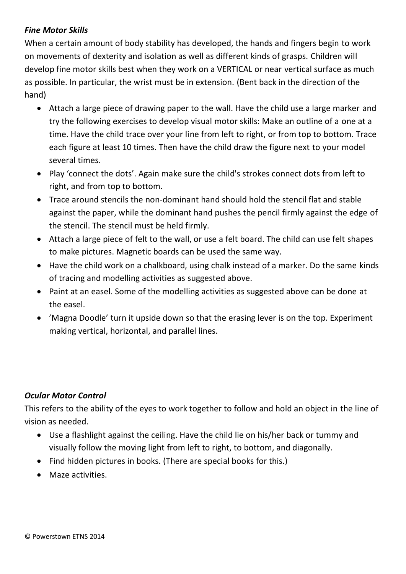## *Fine Motor Skills*

When a certain amount of body stability has developed, the hands and fingers begin to work on movements of dexterity and isolation as well as different kinds of grasps. Children will develop fine motor skills best when they work on a VERTICAL or near vertical surface as much as possible. In particular, the wrist must be in extension. (Bent back in the direction of the hand)

- Attach a large piece of drawing paper to the wall. Have the child use a large marker and try the following exercises to develop visual motor skills: Make an outline of a one at a time. Have the child trace over your line from left to right, or from top to bottom. Trace each figure at least 10 times. Then have the child draw the figure next to your model several times.
- Play 'connect the dots'. Again make sure the child's strokes connect dots from left to right, and from top to bottom.
- Trace around stencils the non-dominant hand should hold the stencil flat and stable against the paper, while the dominant hand pushes the pencil firmly against the edge of the stencil. The stencil must be held firmly.
- Attach a large piece of felt to the wall, or use a felt board. The child can use felt shapes to make pictures. Magnetic boards can be used the same way.
- Have the child work on a chalkboard, using chalk instead of a marker. Do the same kinds of tracing and modelling activities as suggested above.
- Paint at an easel. Some of the modelling activities as suggested above can be done at the easel.
- 'Magna Doodle' turn it upside down so that the erasing lever is on the top. Experiment making vertical, horizontal, and parallel lines.

## *Ocular Motor Control*

This refers to the ability of the eyes to work together to follow and hold an object in the line of vision as needed.

- Use a flashlight against the ceiling. Have the child lie on his/her back or tummy and visually follow the moving light from left to right, to bottom, and diagonally.
- Find hidden pictures in books. (There are special books for this.)
- **•** Maze activities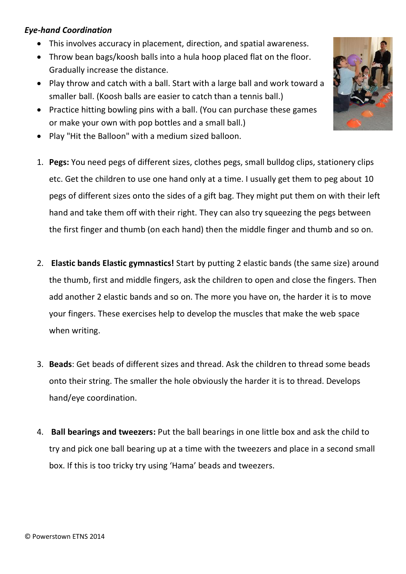## *Eye-hand Coordination*

- This involves accuracy in placement, direction, and spatial awareness.
- Throw bean bags/koosh balls into a hula hoop placed flat on the floor. Gradually increase the distance.
- Play throw and catch with a ball. Start with a large ball and work toward a smaller ball. (Koosh balls are easier to catch than a tennis ball.)
- Practice hitting bowling pins with a ball. (You can purchase these games or make your own with pop bottles and a small ball.)
- Play "Hit the Balloon" with a medium sized balloon.
- 1. **Pegs:** You need pegs of different sizes, clothes pegs, small bulldog clips, stationery clips etc. Get the children to use one hand only at a time. I usually get them to peg about 10 pegs of different sizes onto the sides of a gift bag. They might put them on with their left hand and take them off with their right. They can also try squeezing the pegs between the first finger and thumb (on each hand) then the middle finger and thumb and so on.
- 2. **Elastic bands Elastic gymnastics!** Start by putting 2 elastic bands (the same size) around the thumb, first and middle fingers, ask the children to open and close the fingers. Then add another 2 elastic bands and so on. The more you have on, the harder it is to move your fingers. These exercises help to develop the muscles that make the web space when writing.
- 3. **Beads**: Get beads of different sizes and thread. Ask the children to thread some beads onto their string. The smaller the hole obviously the harder it is to thread. Develops hand/eye coordination.
- 4. **Ball bearings and tweezers:** Put the ball bearings in one little box and ask the child to try and pick one ball bearing up at a time with the tweezers and place in a second small box. If this is too tricky try using 'Hama' beads and tweezers.

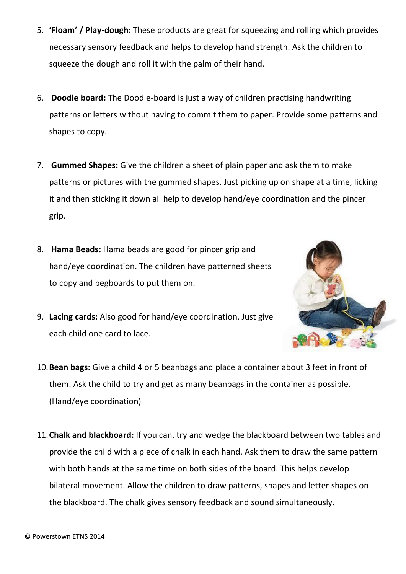- 5. **'Floam' / Play-dough:** These products are great for squeezing and rolling which provides necessary sensory feedback and helps to develop hand strength. Ask the children to squeeze the dough and roll it with the palm of their hand.
- 6. **Doodle board:** The Doodle-board is just a way of children practising handwriting patterns or letters without having to commit them to paper. Provide some patterns and shapes to copy.
- 7. **Gummed Shapes:** Give the children a sheet of plain paper and ask them to make patterns or pictures with the gummed shapes. Just picking up on shape at a time, licking it and then sticking it down all help to develop hand/eye coordination and the pincer grip.
- 8. **Hama Beads:** Hama beads are good for pincer grip and hand/eye coordination. The children have patterned sheets to copy and pegboards to put them on.
- 9. **Lacing cards:** Also good for hand/eye coordination. Just give each child one card to lace.



- 10.**Bean bags:** Give a child 4 or 5 beanbags and place a container about 3 feet in front of them. Ask the child to try and get as many beanbags in the container as possible. (Hand/eye coordination)
- 11.**Chalk and blackboard:** If you can, try and wedge the blackboard between two tables and provide the child with a piece of chalk in each hand. Ask them to draw the same pattern with both hands at the same time on both sides of the board. This helps develop bilateral movement. Allow the children to draw patterns, shapes and letter shapes on the blackboard. The chalk gives sensory feedback and sound simultaneously.